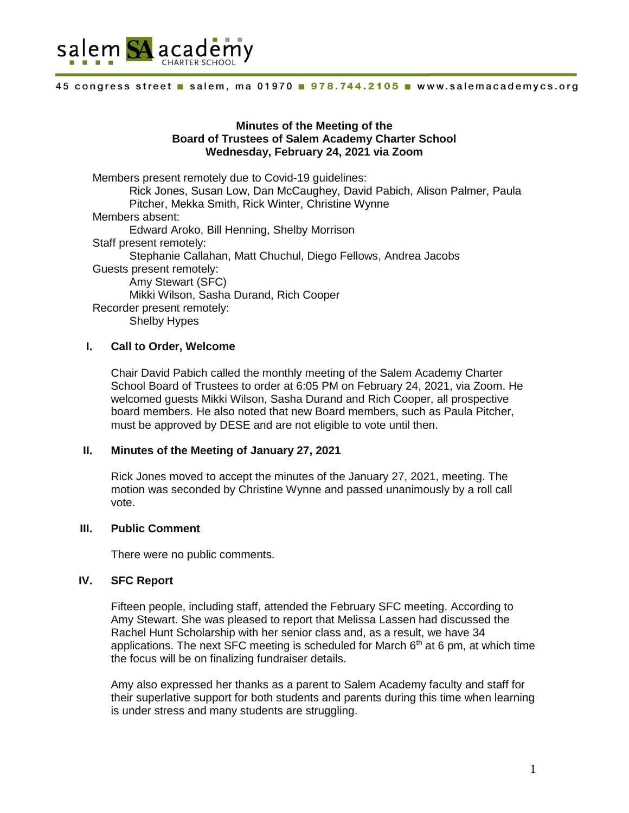

#### 45 congress street salem, ma 01970 . 978.744.2105 . www.salemacademycs.org

## **Minutes of the Meeting of the Board of Trustees of Salem Academy Charter School Wednesday, February 24, 2021 via Zoom**

Members present remotely due to Covid-19 guidelines: Rick Jones, Susan Low, Dan McCaughey, David Pabich, Alison Palmer, Paula Pitcher, Mekka Smith, Rick Winter, Christine Wynne Members absent: Edward Aroko, Bill Henning, Shelby Morrison Staff present remotely: Stephanie Callahan, Matt Chuchul, Diego Fellows, Andrea Jacobs Guests present remotely: Amy Stewart (SFC) Mikki Wilson, Sasha Durand, Rich Cooper Recorder present remotely: Shelby Hypes

# **I. Call to Order, Welcome**

Chair David Pabich called the monthly meeting of the Salem Academy Charter School Board of Trustees to order at 6:05 PM on February 24, 2021, via Zoom. He welcomed guests Mikki Wilson, Sasha Durand and Rich Cooper, all prospective board members. He also noted that new Board members, such as Paula Pitcher, must be approved by DESE and are not eligible to vote until then.

## **II. Minutes of the Meeting of January 27, 2021**

Rick Jones moved to accept the minutes of the January 27, 2021, meeting. The motion was seconded by Christine Wynne and passed unanimously by a roll call vote.

## **III. Public Comment**

There were no public comments.

# **IV. SFC Report**

Fifteen people, including staff, attended the February SFC meeting. According to Amy Stewart. She was pleased to report that Melissa Lassen had discussed the Rachel Hunt Scholarship with her senior class and, as a result, we have 34 applications. The next SFC meeting is scheduled for March  $6<sup>th</sup>$  at 6 pm, at which time the focus will be on finalizing fundraiser details.

Amy also expressed her thanks as a parent to Salem Academy faculty and staff for their superlative support for both students and parents during this time when learning is under stress and many students are struggling.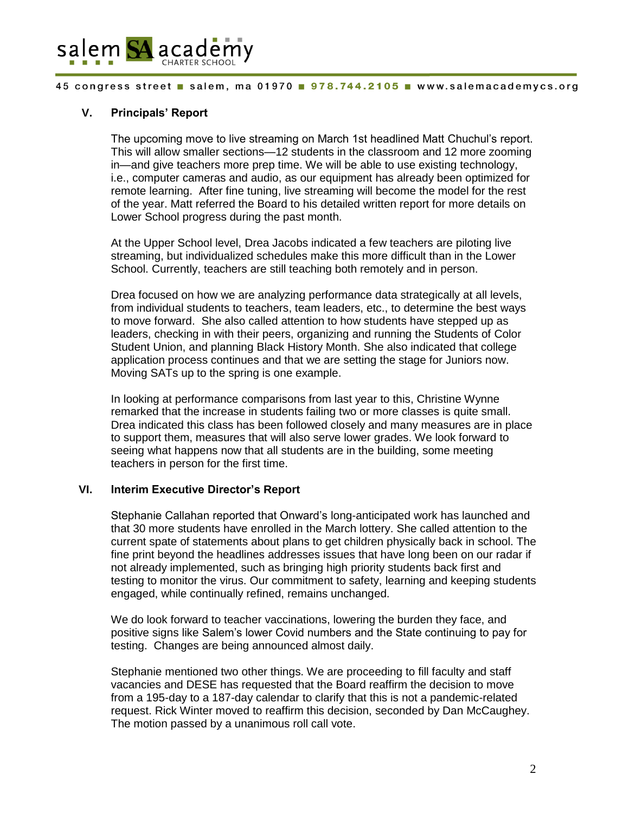

#### 45 congress street salem, ma 01970 . 978.744.2105 . www.salemacademycs.org

## **V. Principals' Report**

The upcoming move to live streaming on March 1st headlined Matt Chuchul's report. This will allow smaller sections—12 students in the classroom and 12 more zooming in—and give teachers more prep time. We will be able to use existing technology, i.e., computer cameras and audio, as our equipment has already been optimized for remote learning. After fine tuning, live streaming will become the model for the rest of the year. Matt referred the Board to his detailed written report for more details on Lower School progress during the past month.

At the Upper School level, Drea Jacobs indicated a few teachers are piloting live streaming, but individualized schedules make this more difficult than in the Lower School. Currently, teachers are still teaching both remotely and in person.

Drea focused on how we are analyzing performance data strategically at all levels, from individual students to teachers, team leaders, etc., to determine the best ways to move forward. She also called attention to how students have stepped up as leaders, checking in with their peers, organizing and running the Students of Color Student Union, and planning Black History Month. She also indicated that college application process continues and that we are setting the stage for Juniors now. Moving SATs up to the spring is one example.

In looking at performance comparisons from last year to this, Christine Wynne remarked that the increase in students failing two or more classes is quite small. Drea indicated this class has been followed closely and many measures are in place to support them, measures that will also serve lower grades. We look forward to seeing what happens now that all students are in the building, some meeting teachers in person for the first time.

### **VI. Interim Executive Director's Report**

Stephanie Callahan reported that Onward's long-anticipated work has launched and that 30 more students have enrolled in the March lottery. She called attention to the current spate of statements about plans to get children physically back in school. The fine print beyond the headlines addresses issues that have long been on our radar if not already implemented, such as bringing high priority students back first and testing to monitor the virus. Our commitment to safety, learning and keeping students engaged, while continually refined, remains unchanged.

We do look forward to teacher vaccinations, lowering the burden they face, and positive signs like Salem's lower Covid numbers and the State continuing to pay for testing. Changes are being announced almost daily.

Stephanie mentioned two other things. We are proceeding to fill faculty and staff vacancies and DESE has requested that the Board reaffirm the decision to move from a 195-day to a 187-day calendar to clarify that this is not a pandemic-related request. Rick Winter moved to reaffirm this decision, seconded by Dan McCaughey. The motion passed by a unanimous roll call vote.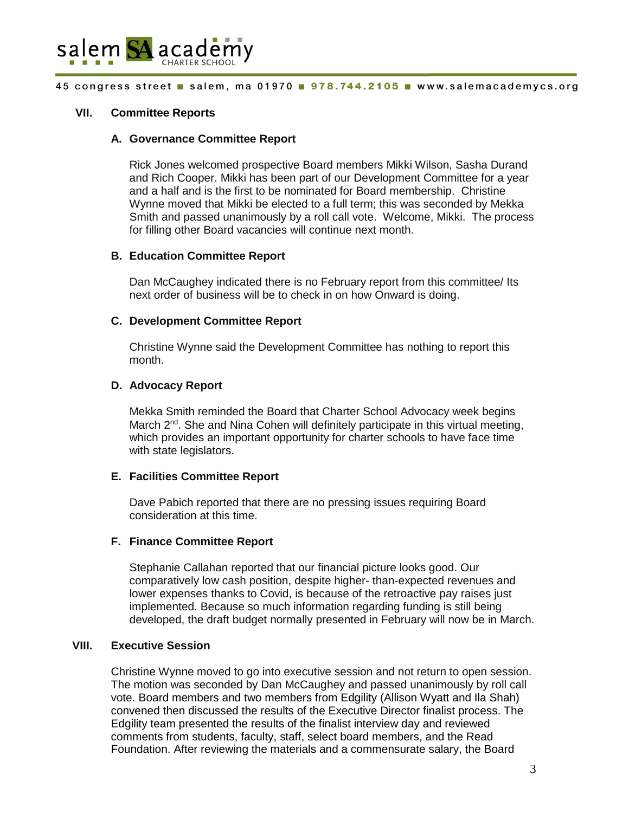

#### 45 congress street salem, ma 01970 . 978.744.2105 . www.salemacademycs.org

## **VII. Committee Reports**

### **A. Governance Committee Report**

Rick Jones welcomed prospective Board members Mikki Wilson, Sasha Durand and Rich Cooper. Mikki has been part of our Development Committee for a year and a half and is the first to be nominated for Board membership. Christine Wynne moved that Mikki be elected to a full term; this was seconded by Mekka Smith and passed unanimously by a roll call vote. Welcome, Mikki. The process for filling other Board vacancies will continue next month.

### **B. Education Committee Report**

Dan McCaughey indicated there is no February report from this committee/ Its next order of business will be to check in on how Onward is doing.

### **C. Development Committee Report**

Christine Wynne said the Development Committee has nothing to report this month.

### **D. Advocacy Report**

Mekka Smith reminded the Board that Charter School Advocacy week begins March  $2^{nd}$ . She and Nina Cohen will definitely participate in this virtual meeting, which provides an important opportunity for charter schools to have face time with state legislators.

### **E. Facilities Committee Report**

Dave Pabich reported that there are no pressing issues requiring Board consideration at this time.

### **F. Finance Committee Report**

Stephanie Callahan reported that our financial picture looks good. Our comparatively low cash position, despite higher- than-expected revenues and lower expenses thanks to Covid, is because of the retroactive pay raises just implemented. Because so much information regarding funding is still being developed, the draft budget normally presented in February will now be in March.

# **VIII. Executive Session**

Christine Wynne moved to go into executive session and not return to open session. The motion was seconded by Dan McCaughey and passed unanimously by roll call vote. Board members and two members from Edgility (Allison Wyatt and Ila Shah) convened then discussed the results of the Executive Director finalist process. The Edgility team presented the results of the finalist interview day and reviewed comments from students, faculty, staff, select board members, and the Read Foundation. After reviewing the materials and a commensurate salary, the Board